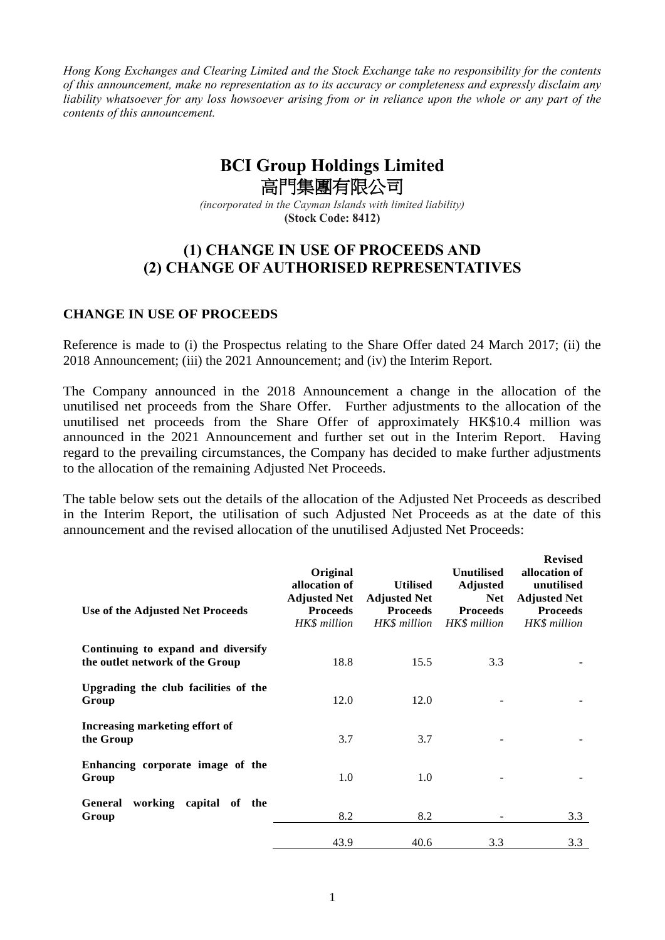*Hong Kong Exchanges and Clearing Limited and the Stock Exchange take no responsibility for the contents of this announcement, make no representation as to its accuracy or completeness and expressly disclaim any liability whatsoever for any loss howsoever arising from or in reliance upon the whole or any part of the contents of this announcement.*

# **BCI Group Holdings Limited** 高門集團有限公司

*(incorporated in the Cayman Islands with limited liability)* **(Stock Code: 8412)**

# **(1) CHANGE IN USE OF PROCEEDS AND (2) CHANGE OF AUTHORISED REPRESENTATIVES**

#### **CHANGE IN USE OF PROCEEDS**

Reference is made to (i) the Prospectus relating to the Share Offer dated 24 March 2017; (ii) the 2018 Announcement; (iii) the 2021 Announcement; and (iv) the Interim Report.

The Company announced in the 2018 Announcement a change in the allocation of the unutilised net proceeds from the Share Offer. Further adjustments to the allocation of the unutilised net proceeds from the Share Offer of approximately HK\$10.4 million was announced in the 2021 Announcement and further set out in the Interim Report. Having regard to the prevailing circumstances, the Company has decided to make further adjustments to the allocation of the remaining Adjusted Net Proceeds.

The table below sets out the details of the allocation of the Adjusted Net Proceeds as described in the Interim Report, the utilisation of such Adjusted Net Proceeds as at the date of this announcement and the revised allocation of the unutilised Adjusted Net Proceeds:

| Use of the Adjusted Net Proceeds                                      | Original<br>allocation of<br><b>Adjusted Net</b><br><b>Proceeds</b><br>HK\$ million | <b>Utilised</b><br><b>Adjusted Net</b><br><b>Proceeds</b><br>HK\$ million | <b>Unutilised</b><br><b>Adjusted</b><br><b>Net</b><br><b>Proceeds</b><br>HK\$ million | <b>Revised</b><br>allocation of<br>unutilised<br><b>Adjusted Net</b><br><b>Proceeds</b><br>HK\$ million |
|-----------------------------------------------------------------------|-------------------------------------------------------------------------------------|---------------------------------------------------------------------------|---------------------------------------------------------------------------------------|---------------------------------------------------------------------------------------------------------|
| Continuing to expand and diversify<br>the outlet network of the Group | 18.8                                                                                | 15.5                                                                      | 3.3                                                                                   |                                                                                                         |
| Upgrading the club facilities of the<br>Group                         | 12.0                                                                                | 12.0                                                                      |                                                                                       |                                                                                                         |
| Increasing marketing effort of<br>the Group                           | 3.7                                                                                 | 3.7                                                                       |                                                                                       |                                                                                                         |
| Enhancing corporate image of the<br>Group                             | 1.0                                                                                 | 1.0                                                                       |                                                                                       |                                                                                                         |
| working capital<br><b>General</b><br>of the<br>Group                  | 8.2                                                                                 | 8.2                                                                       |                                                                                       | 3.3                                                                                                     |
|                                                                       | 43.9                                                                                | 40.6                                                                      | 3.3                                                                                   | 3.3                                                                                                     |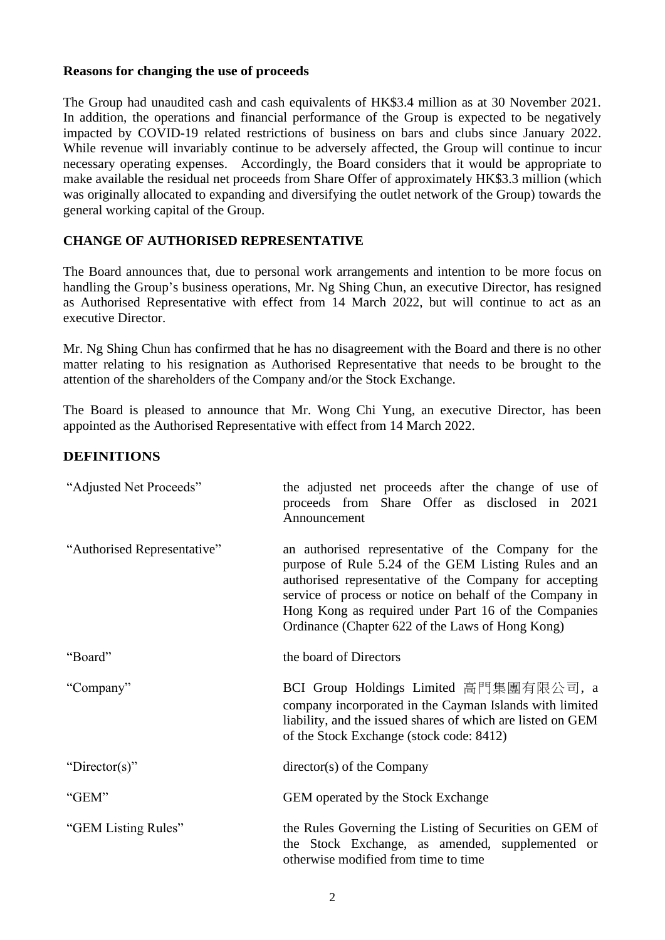#### **Reasons for changing the use of proceeds**

The Group had unaudited cash and cash equivalents of HK\$3.4 million as at 30 November 2021. In addition, the operations and financial performance of the Group is expected to be negatively impacted by COVID-19 related restrictions of business on bars and clubs since January 2022. While revenue will invariably continue to be adversely affected, the Group will continue to incur necessary operating expenses. Accordingly, the Board considers that it would be appropriate to make available the residual net proceeds from Share Offer of approximately HK\$3.3 million (which was originally allocated to expanding and diversifying the outlet network of the Group) towards the general working capital of the Group.

## **CHANGE OF AUTHORISED REPRESENTATIVE**

The Board announces that, due to personal work arrangements and intention to be more focus on handling the Group's business operations, Mr. Ng Shing Chun, an executive Director, has resigned as Authorised Representative with effect from 14 March 2022, but will continue to act as an executive Director.

Mr. Ng Shing Chun has confirmed that he has no disagreement with the Board and there is no other matter relating to his resignation as Authorised Representative that needs to be brought to the attention of the shareholders of the Company and/or the Stock Exchange.

The Board is pleased to announce that Mr. Wong Chi Yung, an executive Director, has been appointed as the Authorised Representative with effect from 14 March 2022.

## **DEFINITIONS**

| "Adjusted Net Proceeds"     | the adjusted net proceeds after the change of use of<br>proceeds from Share Offer as disclosed in 2021<br>Announcement                                                                                                                                                                                                                        |
|-----------------------------|-----------------------------------------------------------------------------------------------------------------------------------------------------------------------------------------------------------------------------------------------------------------------------------------------------------------------------------------------|
| "Authorised Representative" | an authorised representative of the Company for the<br>purpose of Rule 5.24 of the GEM Listing Rules and an<br>authorised representative of the Company for accepting<br>service of process or notice on behalf of the Company in<br>Hong Kong as required under Part 16 of the Companies<br>Ordinance (Chapter 622 of the Laws of Hong Kong) |
| "Board"                     | the board of Directors                                                                                                                                                                                                                                                                                                                        |
| "Company"                   | BCI Group Holdings Limited 高門集團有限公司, a<br>company incorporated in the Cayman Islands with limited<br>liability, and the issued shares of which are listed on GEM<br>of the Stock Exchange (stock code: 8412)                                                                                                                                  |
| "Director(s)"               | director(s) of the Company                                                                                                                                                                                                                                                                                                                    |
| "GEM"                       | GEM operated by the Stock Exchange                                                                                                                                                                                                                                                                                                            |
| "GEM Listing Rules"         | the Rules Governing the Listing of Securities on GEM of<br>the Stock Exchange, as amended, supplemented or<br>otherwise modified from time to time                                                                                                                                                                                            |